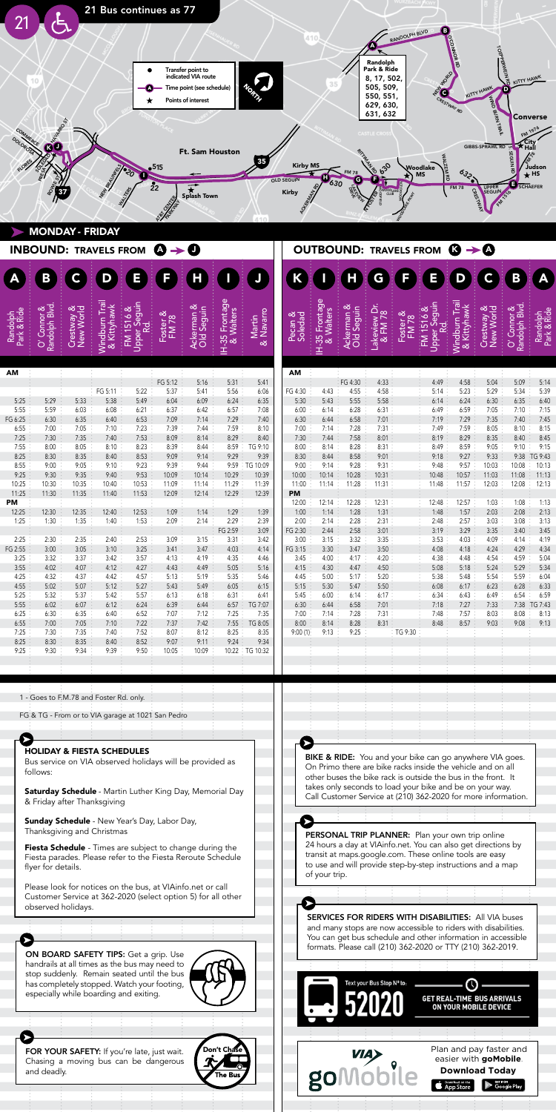

| AM      |       |       |         |       |         |       |         |          |
|---------|-------|-------|---------|-------|---------|-------|---------|----------|
|         |       |       |         |       | FG 5:12 | 5:16  | 5:31    | 5:41     |
|         |       |       | FG 5:11 | 5:22  | 5:37    | 5:41  | 5:56    | 6:06     |
| 5:25    | 5:29  | 5:33  | 5:38    | 5:49  | 6:04    | 6:09  | 6:24    | 6:35     |
| 5:55    | 5:59  | 6:03  | 6:08    | 6:21  | 6:37    | 6:42  | 6:57    | 7:08     |
| FG 6:25 | 6:30  | 6:35  | 6:40    | 6:53  | 7:09    | 7:14  | 7:29    | 7:40     |
| 6:55    | 7:00  | 7:05  | 7:10    | 7:23  | 7:39    | 7:44  | 7:59    | 8:10     |
| 7:25    | 7:30  | 7:35  | 7:40    | 7:53  | 8:09    | 8:14  | 8:29    | 8:40     |
| 7:55    | 8:00  | 8:05  | 8:10    | 8:23  | 8:39    | 8:44  | 8:59    | TG 9:10  |
| 8:25    | 8:30  | 8:35  | 8:40    | 8:53  | 9:09    | 9:14  | 9:29    | 9:39     |
| 8:55    | 9:00  | 9:05  | 9:10    | 9:23  | 9:39    | 9:44  | 9:59    | TG 10:09 |
| 9:25    | 9:30  | 9:35  | 9:40    | 9:53  | 10:09   | 10:14 | 10:29   | 10:39    |
| 10:25   | 10:30 | 10:35 | 10:40   | 10:53 | 11:09   | 11:14 | 11:29   | 11:39    |
| 11:25   | 11:30 | 11:35 | 11:40   | 11:53 | 12:09   | 12:14 | 12:29   | 12:39    |
| PM      |       |       |         |       |         |       |         |          |
| 12:25   | 12:30 | 12:35 | 12:40   | 12:53 | 1:09    | 1:14  | 1:29    | 1:39     |
| 1:25    | 1:30  | 1:35  | 1:40    | 1:53  | 2:09    | 2:14  | 2:29    | 2:39     |
|         |       |       |         |       |         |       | FG 2:59 | 3:09     |
| 2:25    | 2:30  | 2:35  | 2:40    | 2:53  | 3:09    | 3:15  | 3:31    | 3:42     |
| FG 2:55 | 3:00  | 3:05  | 3:10    | 3:25  | 3:41    | 3:47  | 4:03    | 4:14     |
| 3:25    | 3:32  | 3:37  | 3:42    | 3:57  | 4:13    | 4:19  | 4:35    | 4:46     |
| 3:55    | 4:02  | 4:07  | 4:12    | 4:27  | 4:43    | 4:49  | 5:05    | 5:16     |
| 4:25    | 4:32  | 4:37  | 4:42    | 4:57  | 5:13    | 5:19  | 5:35    | 5:46     |
| 4:55    | 5:02  | 5:07  | 5:12    | 5:27  | 5:43    | 5:49  | 6:05    | 6:15     |
| 5:25    | 5:32  | 5:37  | 5:42    | 5:57  | 6:13    | 6:18  | 6:31    | 6:41     |
| 5:55    | 6:02  | 6:07  | 6:12    | 6:24  | 6:39    | 6:44  | 6:57    | TG 7:07  |
| 6:25    | 6:30  | 6:35  | 6:40    | 6:52  | 7:07    | 7:12  | 7:25    | 7:35     |
| 6:55    | 7:00  | 7:05  | 7:10    | 7:22  | 7:37    | 7:42  | 7:55    | TG 8:05  |
| 7:25    | 7:30  | 7:35  | 7:40    | 7:52  | 8:07    | 8:12  | 8:25    | 8:35     |
| 8:25    | 8:30  | 8:35  | 8:40    | 8:52  | 9:07    | 9:11  | 9:24    | 9:34     |
| 9:25    | 9:30  | 9:34  | 9:39    | 9:50  | 10:05   | 10:09 | 10:22   | TG 10:32 |

| C<br>Rando                            | Cres<br>New |         | <b>Bedri</b> | 운피      | မီမီ  | $H - 35$<br>& | ∑∑<br>¤        | e S     | 35<br>య | ट्टैंड  | Lake<br>& F | ᅝᆞ      | ۔<br>اگر | & Kit | Cres<br>New | Rando<br>$\bar{\circ}$ | 존중      |
|---------------------------------------|-------------|---------|--------------|---------|-------|---------------|----------------|---------|---------|---------|-------------|---------|----------|-------|-------------|------------------------|---------|
|                                       |             |         |              |         |       |               |                | AM      |         |         |             |         |          |       |             |                        |         |
|                                       |             |         |              | FG 5:12 | 5:16  | 5:31          | 5:41           |         |         | FG 4:30 | 4:33        |         | 4:49     | 4:58  | 5:04        | 5:09                   | 5:14    |
|                                       |             | FG 5:11 | 5:22         | 5:37    | 5:41  | 5:56          | 6:06           | FG 4:30 | 4:43    | 4:55    | 4:58        |         | 5:14     | 5:23  | 5:29        | 5:34                   | 5:39    |
| 5:29                                  | 5:33        | 5:38    | 5:49         | 6:04    | 6:09  | 6:24          | 6:35           | 5:30    | 5:43    | 5:55    | 5:58        |         | 6:14     | 6:24  | 6:30        | 6:35                   | 6:40    |
| 5:59                                  | 6:03        | 6:08    | 6:21         | 6:37    | 6:42  | 6:57          | 7:08           | 6:00    | 6:14    | 6:28    | 6:31        |         | 6:49     | 6:59  | 7:05        | 7:10                   | 7:15    |
| 6:30                                  | 6:35        | 6:40    | 6:53         | 7:09    | 7:14  | 7:29          | 7:40           | 6:30    | 6:44    | 6:58    | 7:01        |         | 7:19     | 7:29  | 7:35        | 7:40                   | 7:45    |
| 7:00                                  | 7:05        | 7:10    | 7:23         | 7:39    | 7:44  | 7:59          | 8:10           | 7:00    | 7:14    | 7:28    | 7:31        |         | 7:49     | 7:59  | 8:05        | 8:10                   | 8:15    |
| 7:30                                  | 7:35        | 7:40    | 7:53         | 8:09    | 8:14  | 8:29          | 8:40           | 7:30    | 7:44    | 7:58    | 8:01        |         | 8:19     | 8:29  | 8:35        | 8:40                   | 8:45    |
| 8:00                                  | 8:05        | 8:10    | 8:23         | 8:39    | 8:44  | 8:59          | TG 9:10        | 8:00    | 8:14    | 8:28    | 8:31        |         | 8:49     | 8:59  | 9:05        | 9:10                   | 9:15    |
| 8:30                                  | 8:35        | 8:40    | 8:53         | 9:09    | 9:14  | 9:29          | 9:39           | 8:30    | 8:44    | 8:58    | 9:01        |         | 9:18     | 9:27  | 9:33        | 9:38                   | TG 9:43 |
| 9:00                                  | 9:05        | 9:10    | 9:23         | 9:39    | 9:44  | 9:59          | ∶TG 10:09      | 9:00    | 9:14    | 9:28    | 9:31        |         | 9:48     | 9:57  | 10:03       | 10:08                  | 10:13   |
| 9:30                                  | 9:35        | 9:40    | 9:53         | 10:09   | 10:14 | 10:29         | 10:39          | 10:00   | 10:14   | 10:28   | 10:31       |         | 10:48    | 10:57 | 11:03       | 11:08                  | 11:13   |
| 10:30                                 | 10:35       | 10:40   | 10:53        | 11:09   | 11:14 | 11:29         | 11:39          | 11:00   | 11:14   | 11:28   | 11:31       |         | 11:48    | 11:57 | 12:03       | 12:08                  | 12:13   |
| 11:30                                 | 11:35       | 11:40   | 11:53        | 12:09   | 12:14 | 12:29         | 12:39          | PM      |         |         |             |         |          |       |             |                        |         |
|                                       |             |         |              |         |       |               |                | 12:00   | 12:14   | 12:28   | 12:31       |         | 12:48    | 12:57 | 1:03        | 1:08                   | 1:13    |
| 12:30                                 | 12:35       | 12:40   | 12:53        | 1:09    | 1:14  | 1:29          | 1:39           | 1:00    | 1:14    | 1:28    | 1:31        |         | 1:48     | 1:57  | 2:03        | 2:08                   | 2:13    |
| 1:30                                  | 1:35        | 1:40    | 1:53         | 2:09    | 2:14  | 2:29          | 2:39           | 2:00    | 2:14    | 2:28    | 2:31        |         | 2:48     | 2:57  | 3:03        | 3:08                   | 3:13    |
|                                       |             |         |              |         |       | FG 2:59       | 3:09           | FG 2:30 | 2:44    | 2:58    | 3:01        |         | 3:19     | 3:29  | 3:35        | 3:40                   | 3:45    |
| 2:30                                  | 2:35        | 2:40    | 2:53         | 3:09    | 3:15  | 3:31          | 3:42           | 3:00    | 3:15    | 3:32    | 3:35        |         | 3:53     | 4:03  | 4:09        | 4:14                   | 4:19    |
| 3:00                                  | 3:05        | 3:10    | 3:25         | 3:41    | 3:47  | 4:03          | 4:14           | FG 3:15 | 3:30    | 3:47    | 3:50        |         | 4:08     | 4:18  | 4:24        | 4:29                   | 4:34    |
| 3:32                                  | 3:37        | 3:42    | 3:57         | 4:13    | 4:19  | 4:35          | 4:46           | 3:45    | 4:00    | 4:17    | 4:20        |         | 4:38     | 4:48  | 4:54        | 4:59                   | 5:04    |
| 4:02                                  | 4:07        | 4:12    | 4:27         | 4:43    | 4:49  | 5:05          | 5:16           | 4:15    | 4:30    | 4:47    | 4:50        |         | 5:08     | 5:18  | 5:24        | 5:29                   | 5:34    |
| 4:32                                  | 4:37        | 4:42    | 4:57         | 5:13    | 5:19  | 5:35          | 5:46           | 4:45    | 5:00    | 5:17    | 5:20        |         | 5:38     | 5:48  | 5:54        | 5:59                   | 6:04    |
| 5:02                                  | 5:07        | 5:12    | 5:27         | 5:43    | 5:49  | 6:05          | 6:15           | 5:15    | 5:30    | 5:47    | 5:50        |         | 6:08     | 6:17  | 6:23        | 6:28                   | 6:33    |
| 5:32                                  | 5:37        | 5:42    | 5:57         | 6:13    | 6:18  | 6:31          | 6:41           | 5:45    | 6:00    | 6:14    | 6:17        |         | 6:34     | 6:43  | 6:49        | 6:54                   | 6:59    |
| 6:02                                  | 6:07        | 6:12    | 6:24         | 6:39    | 6:44  | 6:57          | TG 7:07        | 6:30    | 6:44    | 6:58    | 7:01        |         | 7:18     | 7:27  | 7:33        | 7:38                   | TG 7:43 |
| 6:30                                  | 6:35        | 6:40    | 6:52         | 7:07    | 7:12  | 7:25          | 7:35           | 7:00    | 7:14    | 7:28    | 7:31        |         | 7:48     | 7:57  | 8:03        | 8:08                   | 8:13    |
| 7:00                                  | 7:05        | 7:10    | 7:22         | 7:37    | 7:42  | 7:55          | TG 8:05        | 8:00    | 8:14    | 8:28    | 8:31        |         | 8:48     | 8:57  | 9:03        | 9:08                   | 9:13    |
| 7:30                                  | 7:35        | 7:40    | 7:52         | 8:07    | 8:12  | 8:25          | 8:35           | 9:00(1) | 9:13    | 9:25    |             | TG 9:30 |          |       |             |                        |         |
| 8:30                                  | 8:35        | 8:40    | 8:52         | 9:07    | 9:11  | 9:24          | 9:34           |         |         |         |             |         |          |       |             |                        |         |
| 9:30                                  | 9:34        | 9:39    | 9:50         | 10:05   | 10:09 |               | 10:22 TG 10:32 |         |         |         |             |         |          |       |             |                        |         |
|                                       |             |         |              |         |       |               |                |         |         |         |             |         |          |       |             |                        |         |
|                                       |             |         |              |         |       |               |                |         |         |         |             |         |          |       |             |                        |         |
|                                       |             |         |              |         |       |               |                |         |         |         |             |         |          |       |             |                        |         |
|                                       |             |         |              |         |       |               |                |         |         |         |             |         |          |       |             |                        |         |
| - Goes to F.M.78 and Foster Rd. only. |             |         |              |         |       |               |                |         |         |         |             |         |          |       |             |                        |         |
|                                       |             |         |              |         |       |               |                |         |         |         |             |         |          |       |             |                        |         |

What does not be a first part of the set of the set of the set of the set of the set of the set of the set of <br>The set of the set of the set of the set of the set of the set of the set of the set of the set of the set of

| 1 - Goes to F.M.78 and Foster Rd. only.                                                                                                                                             |
|-------------------------------------------------------------------------------------------------------------------------------------------------------------------------------------|
| FG & TG - From or to VIA garage at 1021 San Pedro                                                                                                                                   |
|                                                                                                                                                                                     |
|                                                                                                                                                                                     |
| <b>HOLIDAY &amp; FIESTA SCHEDULES</b>                                                                                                                                               |
| Bus service on VIA observed holidays will be provided as<br>follows:                                                                                                                |
| <b>Saturday Schedule</b> - Martin Luther King Day, Memorial Day<br>& Friday after Thanksgiving                                                                                      |
| <b>Sunday Schedule</b> - New Year's Day, Labor Day,<br>Thanksgiving and Christmas                                                                                                   |
| <b>Fiesta Schedule</b> - Times are subject to change during the<br>Fiesta parades. Please refer to the Fiesta Reroute Schedule<br>flyer for details.                                |
| Please look for notices on the bus, at VIAinfo.net or call<br>Customer Service at 362-2020 (select option 5) for all other<br>observed holidays.                                    |
|                                                                                                                                                                                     |
|                                                                                                                                                                                     |
| ON BOARD SAFETY TIPS: Get a grip. Use<br>handrails at all times as the bus may need to<br>stop suddenly. Remain seated until the bus<br>has completely stopped. Watch your footing, |

FOR YOUR SAFETY: If you're late, just wait. Chasing a moving bus can be dangerous  $\blacksquare$ and deadly. When a bus is scheduled to a major  $\sqrt{1 + \frac{1}{n}}$ 

depart, both the arrival and departures times are displayed. This helps passengers plan transfers to other routes.

has completely stopped. Watch your footing,  $\sqrt{\gamma}$  /

especially while boarding and exiting.

Ø



**BIKE & RIDE:** You and your bike can go anywhere VIA goes. On Primo there are bike racks inside the vehicle and on all other buses the bike rack is outside the bus in the front. It takes only seconds to load your bike and be on your way. Call Customer Service at (210) 362-2020 for more information. Bike and you and you anywhere  $\overline{\phantom{a}}$ **BIKE & RIDE:** You and your bike can go anywhere VIA

Normally just departure times are printed on the schedules.

 $\blacktriangleright$ PERSONAL TRIP PLANNER: Plan your own trip online Personal Trimp Plan Plan your own trip online to the set of the set of the set of the set of the set of the set of the set of the set of the set of the set of the set of the set of the set of the set of the set of the set transit at maps.google.com. These online tools are easy to use and will provide step-by-step instructions and a map of your trip.  $\mathcal{L}$ Saturday Schedule - Martin Luther King Day, Memorial Day

of your trip.

➤

& Friday after Thanksgiving

SERVICES FOR RIDERS WITH DISABILITIES: All VIA buses and many stops are now accessible to riders with disabilities. You can get bus schedule and other information in accessible<br>
Chase Schedule 2008 2008 TTM (040) 200 2012 formats. Please call (210) 362-2020 or TTY (210) 362-2019. formats. Please call (210) 362-2020 or TTY (210) 362-2019. SERVICES FOR RIDERS WIT



24 hours a day at VIAinfo.net. You can also get directions by transit at maps.google.com. These online tools are easy

Normally just departure times are printed on the schedules.